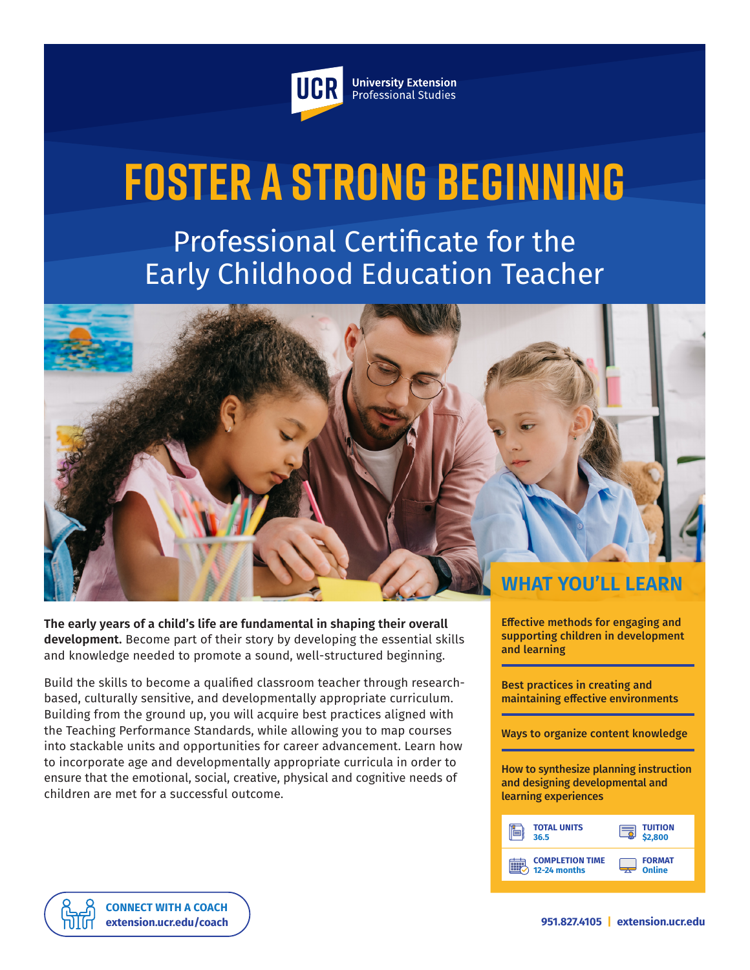

**University Extension** Professional Studies

# **Foster a Strong Beginning**

Professional Certificate for the Early Childhood Education Teacher

**WHAT YOU'LL LEARN**

**The early years of a child's life are fundamental in shaping their overall development.** Become part of their story by developing the essential skills and knowledge needed to promote a sound, well-structured beginning.

Build the skills to become a qualified classroom teacher through researchbased, culturally sensitive, and developmentally appropriate curriculum. Building from the ground up, you will acquire best practices aligned with the Teaching Performance Standards, while allowing you to map courses into stackable units and opportunities for career advancement. Learn how to incorporate age and developmentally appropriate curricula in order to ensure that the emotional, social, creative, physical and cognitive needs of children are met for a successful outcome.

Effective methods for engaging and supporting children in development and learning

Best practices in creating and maintaining effective environments

Ways to organize content knowledge

How to synthesize planning instruction and designing developmental and learning experiences

| <b>TOTAL UNITS</b>     | <b>TUITION</b> |
|------------------------|----------------|
| 36.5                   | \$2,800        |
| <b>COMPLETION TIME</b> | <b>FORMAT</b>  |
| 12-24 months           | Online         |

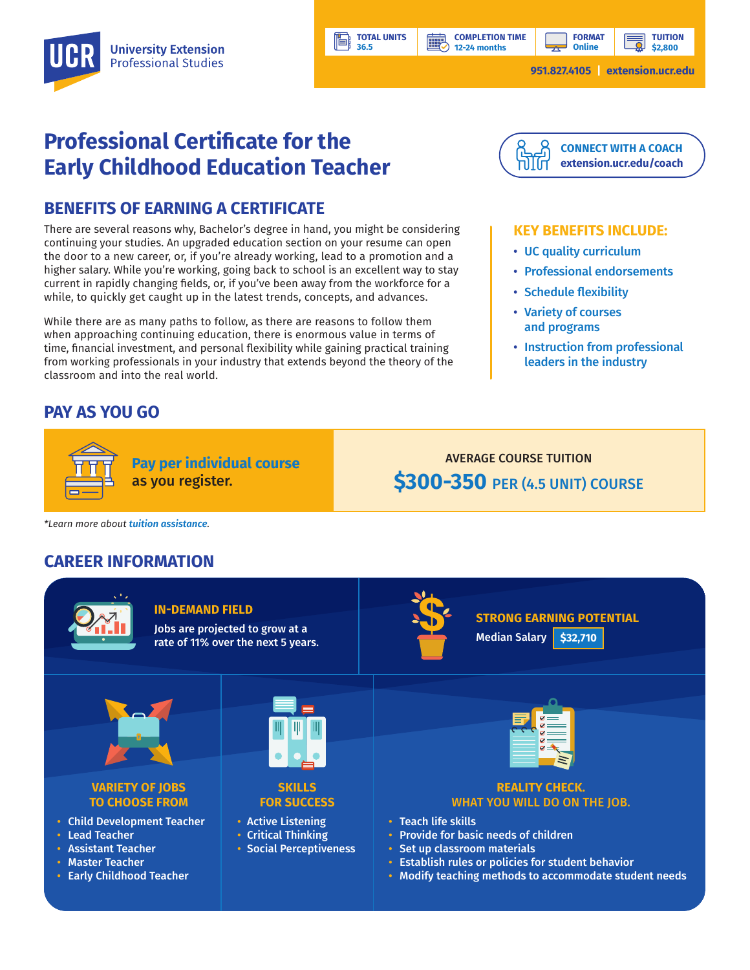**12-24 months**

**HILL** 

# **Professional Certificate for the Early Childhood Education Teacher**

## **BENEFITS OF EARNING A CERTIFICATE**

There are several reasons why, Bachelor's degree in hand, you might be considering continuing your studies. An upgraded education section on your resume can open the door to a new career, or, if you're already working, lead to a promotion and a higher salary. While you're working, going back to school is an excellent way to stay current in rapidly changing fields, or, if you've been away from the workforce for a while, to quickly get caught up in the latest trends, concepts, and advances.

While there are as many paths to follow, as there are reasons to follow them when approaching continuing education, there is enormous value in terms of time, financial investment, and personal flexibility while gaining practical training from working professionals in your industry that extends beyond the theory of the classroom and into the real world.

**Pay per individual course**

as you register.

## **PAY AS YOU GO**



#### **KEY BENEFITS INCLUDE:**

- UC quality curriculum
- Professional endorsements
- Schedule flexibility
- Variety of courses and programs
- Instruction from professional leaders in the industry

AVERAGE COURSE TUITION **\$300-350** PER (4.5 UNIT) COURSE

*\*Learn more about [tuition assistance](https://extension.ucr.edu/helpcenterstudentresources/financialandtuitionassistance).*

## **CAREER INFORMATION**



**TOTAL UNITS 36.5**

• Early Childhood Teacher

• Modify teaching methods to accommodate student needs